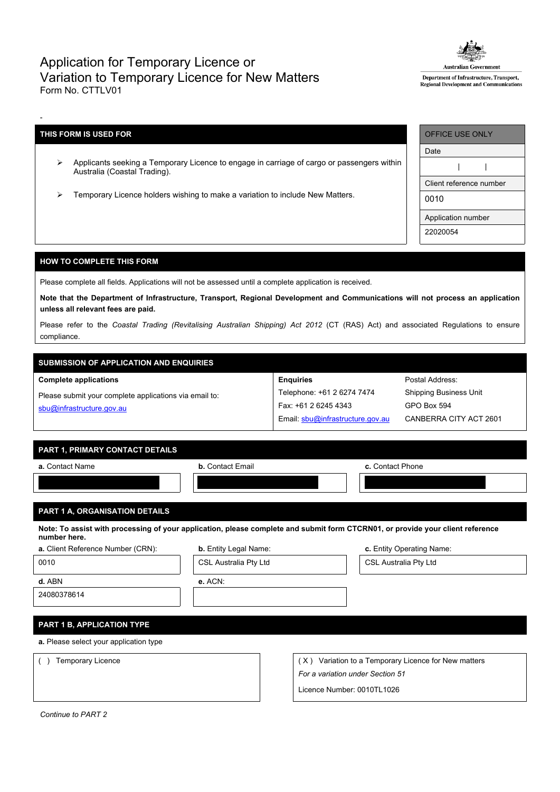## Application for Temporary Licence or Variation to Temporary Licence for New Matters Form No. CTTLV01



Department of Infrastructure, Transport, **Regional Development and Communications** 

## **THIS FORM IS USED FOR**

-

- Applicants seeking a Temporary Licence to engage in carriage of cargo or passengers within Australia (Coastal Trading).
- > Temporary Licence holders wishing to make a variation to include New Matters.

| OFFICE USE ONLY         |
|-------------------------|
| Date                    |
|                         |
| Client reference number |
| 0010                    |
| Application number      |
| 22020054                |

## **HOW TO COMPLETE THIS FORM**

Please complete all fields. Applications will not be assessed until a complete application is received.

Note that the Department of Infrastructure, Transport, Regional Development and Communications will not process an application **unless all relevant fees are paid.**

Please refer to the *Coastal Trading (Revitalising Australian Shipping) Act 2012* (CT (RAS) Act) and associated Regulations to ensure compliance.

# **SUBMISSION OF APPLICATION AND ENQUIRIES**

**Complete applications**

| Please submit your complete applications via email to: |  |
|--------------------------------------------------------|--|
| sbu@infrastructure.gov.au                              |  |

| <b>Enguiries</b>                 |
|----------------------------------|
| Telephone: +61 2 6274 7474       |
| Fax: +61 2 6245 4343             |
| Email: sbu@infrastructure.gov.au |

Postal Address: Shipping Business Unit GPO Box 594 CANBERRA CITY ACT 2601

### **PART 1, PRIMARY CONTACT DETAILS**

| a. Contact Name                | <b>b.</b> Contact Email | c. Contact Phone |
|--------------------------------|-------------------------|------------------|
|                                |                         |                  |
| PART 1 A, ORGANISATION DETAILS |                         |                  |
|                                |                         |                  |

Note: To assist with processing of your application, please complete and submit form CTCRN01, or provide your client reference **number here.**

| a. Client Reference Number (CRN):      | <b>b.</b> Entity Legal Name: | c. Entity Operating Name:        |                                                      |  |
|----------------------------------------|------------------------------|----------------------------------|------------------------------------------------------|--|
| 0010                                   | CSL Australia Pty Ltd        |                                  | CSL Australia Pty Ltd                                |  |
| d. ABN                                 | $e.$ ACN:                    |                                  |                                                      |  |
| 24080378614                            |                              |                                  |                                                      |  |
|                                        |                              |                                  |                                                      |  |
| <b>PART 1 B, APPLICATION TYPE</b>      |                              |                                  |                                                      |  |
| a. Please select your application type |                              |                                  |                                                      |  |
| <b>Temporary Licence</b>               |                              |                                  | (X) Variation to a Temporary Licence for New matters |  |
|                                        |                              | For a variation under Section 51 |                                                      |  |
|                                        |                              | Licence Number: 0010TL1026       |                                                      |  |

*Continue to PART 2*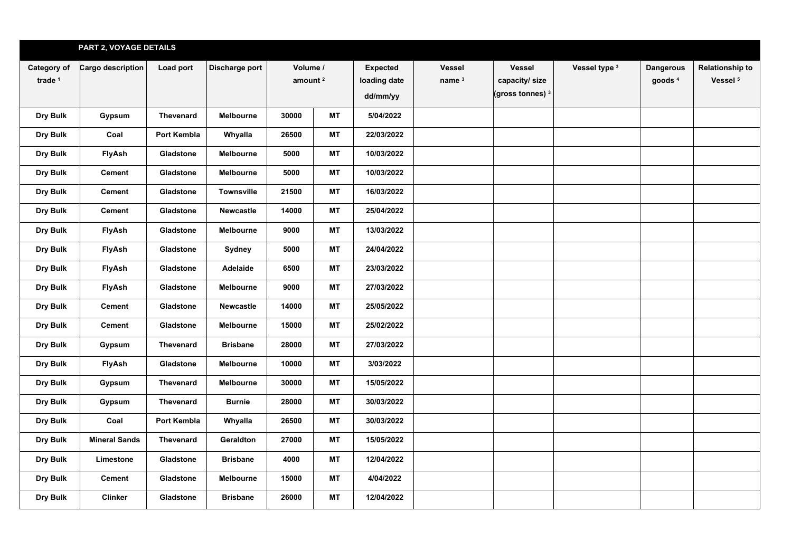|                                   | PART 2, VOYAGE DETAILS |                  |                   |       |                        |            |                           |                                                               |               |                                        |                                               |
|-----------------------------------|------------------------|------------------|-------------------|-------|------------------------|------------|---------------------------|---------------------------------------------------------------|---------------|----------------------------------------|-----------------------------------------------|
| Category of<br>trade <sup>1</sup> | Cargo description      | Load port        | Discharge port    |       | Volume /<br>amount $2$ |            | <b>Vessel</b><br>name $3$ | <b>Vessel</b><br>capacity/size<br>(gross tonnes) <sup>3</sup> | Vessel type 3 | <b>Dangerous</b><br>goods <sup>4</sup> | <b>Relationship to</b><br>Vessel <sup>5</sup> |
| Dry Bulk                          | Gypsum                 | Thevenard        | Melbourne         | 30000 | МT                     | 5/04/2022  |                           |                                                               |               |                                        |                                               |
| Dry Bulk                          | Coal                   | Port Kembla      | Whyalla           | 26500 | МT                     | 22/03/2022 |                           |                                                               |               |                                        |                                               |
| Dry Bulk                          | FlyAsh                 | Gladstone        | Melbourne         | 5000  | МT                     | 10/03/2022 |                           |                                                               |               |                                        |                                               |
| Dry Bulk                          | Cement                 | Gladstone        | Melbourne         | 5000  | MT                     | 10/03/2022 |                           |                                                               |               |                                        |                                               |
| Dry Bulk                          | Cement                 | Gladstone        | <b>Townsville</b> | 21500 | МT                     | 16/03/2022 |                           |                                                               |               |                                        |                                               |
| Dry Bulk                          | Cement                 | Gladstone        | Newcastle         | 14000 | <b>MT</b>              | 25/04/2022 |                           |                                                               |               |                                        |                                               |
| Dry Bulk                          | FlyAsh                 | Gladstone        | Melbourne         | 9000  | МT                     | 13/03/2022 |                           |                                                               |               |                                        |                                               |
| Dry Bulk                          | FlyAsh                 | Gladstone        | Sydney            | 5000  | <b>MT</b>              | 24/04/2022 |                           |                                                               |               |                                        |                                               |
| Dry Bulk                          | FlyAsh                 | Gladstone        | Adelaide          | 6500  | <b>MT</b>              | 23/03/2022 |                           |                                                               |               |                                        |                                               |
| Dry Bulk                          | FlyAsh                 | Gladstone        | <b>Melbourne</b>  | 9000  | <b>MT</b>              | 27/03/2022 |                           |                                                               |               |                                        |                                               |
| Dry Bulk                          | <b>Cement</b>          | Gladstone        | <b>Newcastle</b>  | 14000 | <b>MT</b>              | 25/05/2022 |                           |                                                               |               |                                        |                                               |
| Dry Bulk                          | <b>Cement</b>          | Gladstone        | Melbourne         | 15000 | <b>MT</b>              | 25/02/2022 |                           |                                                               |               |                                        |                                               |
| Dry Bulk                          | Gypsum                 | <b>Thevenard</b> | <b>Brisbane</b>   | 28000 | MT                     | 27/03/2022 |                           |                                                               |               |                                        |                                               |
| Dry Bulk                          | FlyAsh                 | Gladstone        | Melbourne         | 10000 | МT                     | 3/03/2022  |                           |                                                               |               |                                        |                                               |
| Dry Bulk                          | Gypsum                 | <b>Thevenard</b> | Melbourne         | 30000 | <b>MT</b>              | 15/05/2022 |                           |                                                               |               |                                        |                                               |
| Dry Bulk                          | Gypsum                 | <b>Thevenard</b> | <b>Burnie</b>     | 28000 | МT                     | 30/03/2022 |                           |                                                               |               |                                        |                                               |
| Dry Bulk                          | Coal                   | Port Kembla      | Whyalla           | 26500 | MT                     | 30/03/2022 |                           |                                                               |               |                                        |                                               |
| Dry Bulk                          | <b>Mineral Sands</b>   | <b>Thevenard</b> | Geraldton         | 27000 | MT                     | 15/05/2022 |                           |                                                               |               |                                        |                                               |
| Dry Bulk                          | Limestone              | Gladstone        | <b>Brisbane</b>   | 4000  | MT                     | 12/04/2022 |                           |                                                               |               |                                        |                                               |
| Dry Bulk                          | Cement                 | Gladstone        | Melbourne         | 15000 | МT                     | 4/04/2022  |                           |                                                               |               |                                        |                                               |
| Dry Bulk                          | <b>Clinker</b>         | Gladstone        | <b>Brisbane</b>   | 26000 | MT                     | 12/04/2022 |                           |                                                               |               |                                        |                                               |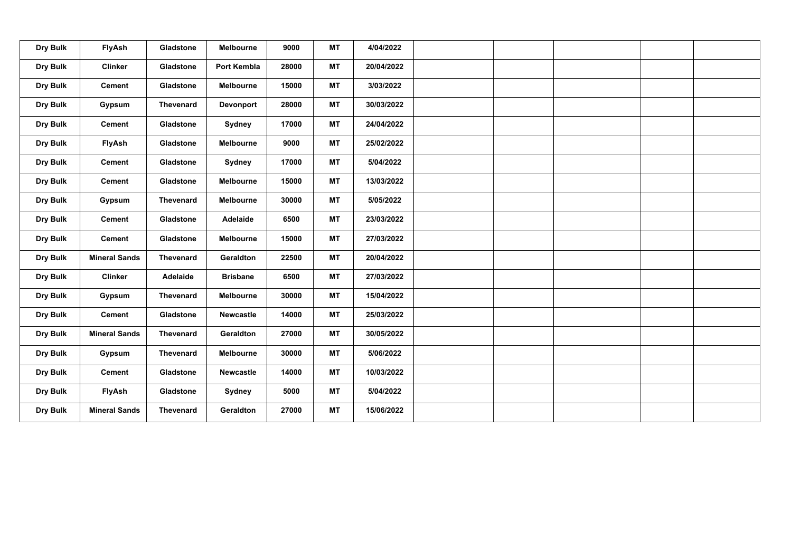| Dry Bulk | FlyAsh               | Gladstone | Melbourne        | 9000  | <b>MT</b> | 4/04/2022  |  |  |  |
|----------|----------------------|-----------|------------------|-------|-----------|------------|--|--|--|
| Dry Bulk | <b>Clinker</b>       | Gladstone | Port Kembla      | 28000 | MT        | 20/04/2022 |  |  |  |
| Dry Bulk | <b>Cement</b>        | Gladstone | Melbourne        | 15000 | MT        | 3/03/2022  |  |  |  |
| Dry Bulk | Gypsum               | Thevenard | Devonport        | 28000 | MT        | 30/03/2022 |  |  |  |
| Dry Bulk | <b>Cement</b>        | Gladstone | Sydney           | 17000 | MT        | 24/04/2022 |  |  |  |
| Dry Bulk | <b>FlyAsh</b>        | Gladstone | <b>Melbourne</b> | 9000  | <b>MT</b> | 25/02/2022 |  |  |  |
| Dry Bulk | <b>Cement</b>        | Gladstone | Sydney           | 17000 | MT        | 5/04/2022  |  |  |  |
| Dry Bulk | <b>Cement</b>        | Gladstone | Melbourne        | 15000 | MT        | 13/03/2022 |  |  |  |
| Dry Bulk | Gypsum               | Thevenard | Melbourne        | 30000 | <b>MT</b> | 5/05/2022  |  |  |  |
| Dry Bulk | <b>Cement</b>        | Gladstone | Adelaide         | 6500  | MT        | 23/03/2022 |  |  |  |
| Dry Bulk | <b>Cement</b>        | Gladstone | Melbourne        | 15000 | MT        | 27/03/2022 |  |  |  |
| Dry Bulk | <b>Mineral Sands</b> | Thevenard | Geraldton        | 22500 | MT        | 20/04/2022 |  |  |  |
| Dry Bulk | <b>Clinker</b>       | Adelaide  | <b>Brisbane</b>  | 6500  | MT        | 27/03/2022 |  |  |  |
| Dry Bulk | Gypsum               | Thevenard | Melbourne        | 30000 | <b>MT</b> | 15/04/2022 |  |  |  |
| Dry Bulk | <b>Cement</b>        | Gladstone | Newcastle        | 14000 | MT        | 25/03/2022 |  |  |  |
| Dry Bulk | <b>Mineral Sands</b> | Thevenard | Geraldton        | 27000 | MT        | 30/05/2022 |  |  |  |
| Dry Bulk | Gypsum               | Thevenard | Melbourne        | 30000 | MT        | 5/06/2022  |  |  |  |
| Dry Bulk | <b>Cement</b>        | Gladstone | <b>Newcastle</b> | 14000 | MT        | 10/03/2022 |  |  |  |
| Dry Bulk | FlyAsh               | Gladstone | Sydney           | 5000  | MT        | 5/04/2022  |  |  |  |
| Dry Bulk | <b>Mineral Sands</b> | Thevenard | Geraldton        | 27000 | <b>MT</b> | 15/06/2022 |  |  |  |